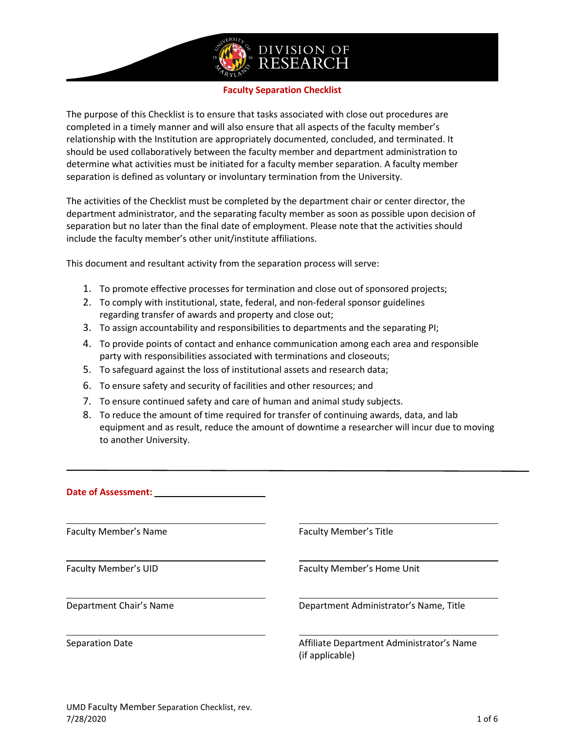

#### **Faculty Separation Checklist**

The purpose of this Checklist is to ensure that tasks associated with close out procedures are completed in a timely manner and will also ensure that all aspects of the faculty member's relationship with the Institution are appropriately documented, concluded, and terminated. It should be used collaboratively between the faculty member and department administration to determine what activities must be initiated for a faculty member separation. A faculty member separation is defined as voluntary or involuntary termination from the University.

The activities of the Checklist must be completed by the department chair or center director, the department administrator, and the separating faculty member as soon as possible upon decision of separation but no later than the final date of employment. Please note that the activities should include the faculty member's other unit/institute affiliations.

This document and resultant activity from the separation process will serve:

- 1. To promote effective processes for termination and close out of sponsored projects;
- 2. To comply with institutional, state, federal, and non-federal sponsor guidelines regarding transfer of awards and property and close out;
- 3. To assign accountability and responsibilities to departments and the separating PI;
- 4. To provide points of contact and enhance communication among each area and responsible party with responsibilities associated with terminations and closeouts;
- 5. To safeguard against the loss of institutional assets and research data;
- 6. To ensure safety and security of facilities and other resources; and
- 7. To ensure continued safety and care of human and animal study subjects.
- 8. To reduce the amount of time required for transfer of continuing awards, data, and lab equipment and as result, reduce the amount of downtime a researcher will incur due to moving to another University.

| <b>Date of Assessment:</b>   |                                                              |
|------------------------------|--------------------------------------------------------------|
| <b>Faculty Member's Name</b> | <b>Faculty Member's Title</b>                                |
| Faculty Member's UID         | Faculty Member's Home Unit                                   |
| Department Chair's Name      | Department Administrator's Name, Title                       |
| Separation Date              | Affiliate Department Administrator's Name<br>(if applicable) |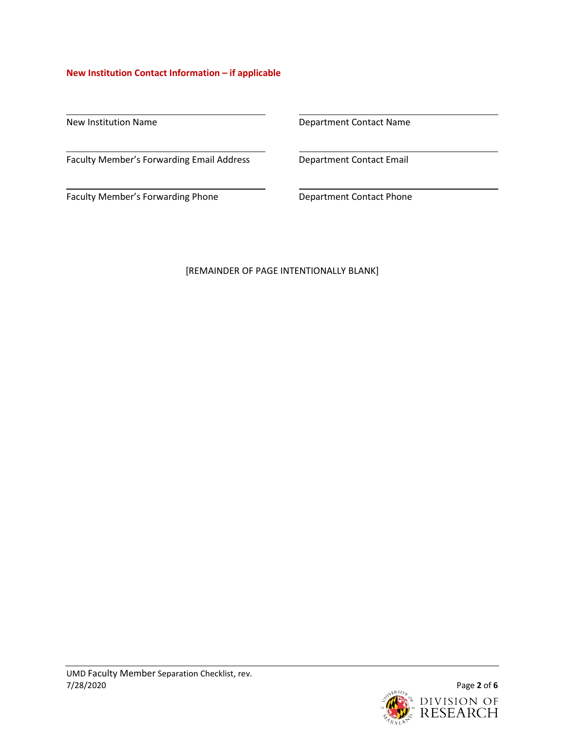## **New Institution Contact Information – if applicable**

Faculty Member's Forwarding Email Address **Department Contact Email** 

Faculty Member's Forwarding Phone **Department Contact Phone** 

New Institution Name **Name** 2012 12:30 Repartment Contact Name

## [REMAINDER OF PAGE INTENTIONALLY BLANK]

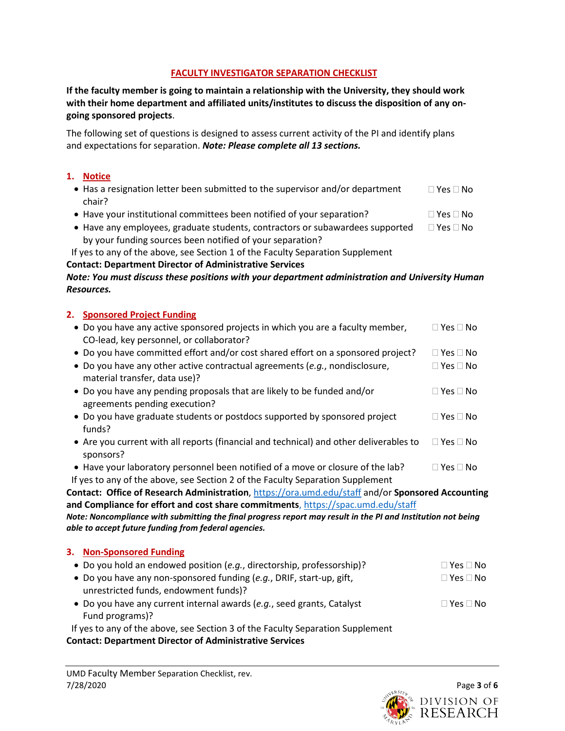## **FACULTY INVESTIGATOR SEPARATION CHECKLIST**

**If the faculty member is going to maintain a relationship with the University, they should work with their home department and affiliated units/institutes to discuss the disposition of any ongoing sponsored projects**.

The following set of questions is designed to assess current activity of the PI and identify plans and expectations for separation. *Note: Please complete all 13 sections.*

## **1. Notice**

- Has a resignation letter been submitted to the supervisor and/or department chair?  $\Box$  Yes  $\Box$  No
- Have your institutional committees been notified of your separation?  $\square$  Yes  $\square$  No
- Have any employees, graduate students, contractors or subawardees supported  $\Box$  Yes  $\Box$  No by your funding sources been notified of your separation?
- If yes to any of the above, see Section 1 of the Faculty Separation Supplement

## **Contact: Department Director of Administrative Services**

## *Note: You must discuss these positions with your department administration and University Human Resources.*

# **2. Sponsored Project Funding**

| • Do you have any active sponsored projects in which you are a faculty member,<br>CO-lead, key personnel, or collaborator? | $\square$ Yes $\square$ No           |
|----------------------------------------------------------------------------------------------------------------------------|--------------------------------------|
| • Do you have committed effort and/or cost shared effort on a sponsored project?                                           | $\Box$ Yes $\Box$ No                 |
| • Do you have any other active contractual agreements (e.g., nondisclosure,<br>material transfer, data use)?               | $\square$ Yes $\square$ No           |
| • Do you have any pending proposals that are likely to be funded and/or<br>agreements pending execution?                   | $\sqcap$ Yes $\sqcap$ No $\sqcap$    |
| • Do you have graduate students or postdocs supported by sponsored project<br>funds?                                       | $\square$ Yes $\square$ No $\square$ |
| • Are you current with all reports (financial and technical) and other deliverables to<br>sponsors?                        | $\square$ Yes $\square$ No           |
| • Have your laboratory personnel been notified of a move or closure of the lab?                                            | $\Box$ Yes $\Box$ No                 |
| If yes to any of the above, see Section 2 of the Faculty Separation Supplement                                             |                                      |
| Contact: Office of Research Administration, https://ora.umd.edu/staff and/or Sponsored Accounting                          |                                      |
| and Compliance for effort and cost share commitments, https://spac.umd.edu/staff                                           |                                      |
| Note: Noncompliance with submitting the final progress report may result in the PI and Institution not being               |                                      |

*able to accept future funding from federal agencies.*

# **3. Non-Sponsored Funding**

| • Do you hold an endowed position $(e.q.,$ directorship, professorship)?       | $\Box$ Yes $\Box$ No |
|--------------------------------------------------------------------------------|----------------------|
| • Do you have any non-sponsored funding (e.g., DRIF, start-up, gift,           | $\Box$ Yes $\Box$ No |
| unrestricted funds, endowment funds)?                                          |                      |
| • Do you have any current internal awards (e.g., seed grants, Catalyst         | $\Box$ Yes $\Box$ No |
| Fund programs)?                                                                |                      |
| If yes to any of the above, see Section 3 of the Faculty Separation Supplement |                      |

**Contact: Department Director of Administrative Services**

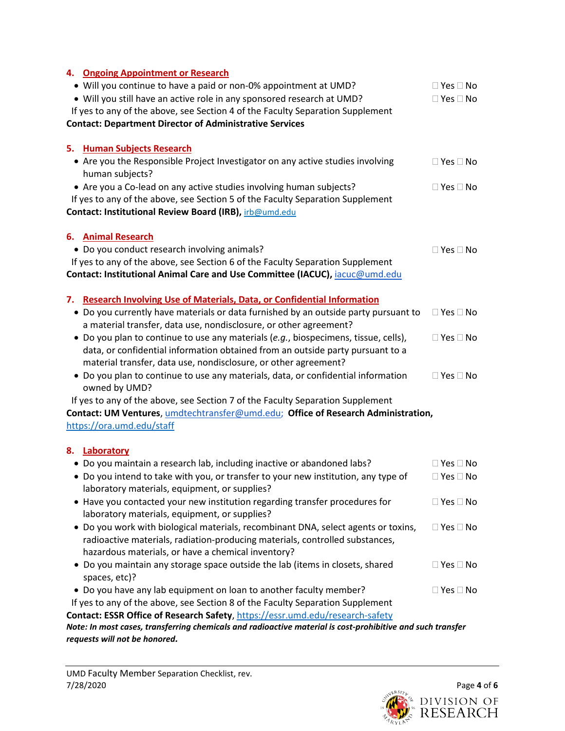| 4. Ongoing Appointment or Research                                                                                                                   |                      |
|------------------------------------------------------------------------------------------------------------------------------------------------------|----------------------|
| • Will you continue to have a paid or non-0% appointment at UMD?                                                                                     | $\Box$ Yes $\Box$ No |
| . Will you still have an active role in any sponsored research at UMD?                                                                               | $\Box$ Yes $\Box$ No |
| If yes to any of the above, see Section 4 of the Faculty Separation Supplement                                                                       |                      |
| <b>Contact: Department Director of Administrative Services</b>                                                                                       |                      |
|                                                                                                                                                      |                      |
| 5. Human Subjects Research                                                                                                                           |                      |
| • Are you the Responsible Project Investigator on any active studies involving                                                                       | $\Box$ Yes $\Box$ No |
| human subjects?                                                                                                                                      |                      |
| • Are you a Co-lead on any active studies involving human subjects?                                                                                  | $\Box$ Yes $\Box$ No |
| If yes to any of the above, see Section 5 of the Faculty Separation Supplement                                                                       |                      |
| Contact: Institutional Review Board (IRB), irb@umd.edu                                                                                               |                      |
| 6. Animal Research                                                                                                                                   |                      |
| • Do you conduct research involving animals?                                                                                                         | $\Box$ Yes $\Box$ No |
| If yes to any of the above, see Section 6 of the Faculty Separation Supplement                                                                       |                      |
| Contact: Institutional Animal Care and Use Committee (IACUC), iacuc@umd.edu                                                                          |                      |
|                                                                                                                                                      |                      |
| <b>Research Involving Use of Materials, Data, or Confidential Information</b><br>7.                                                                  |                      |
| Do you currently have materials or data furnished by an outside party pursuant to<br>٠                                                               | $\Box$ Yes $\Box$ No |
| a material transfer, data use, nondisclosure, or other agreement?                                                                                    |                      |
| • Do you plan to continue to use any materials (e.g., biospecimens, tissue, cells),                                                                  | $\Box$ Yes $\Box$ No |
| data, or confidential information obtained from an outside party pursuant to a                                                                       |                      |
| material transfer, data use, nondisclosure, or other agreement?                                                                                      |                      |
| • Do you plan to continue to use any materials, data, or confidential information<br>owned by UMD?                                                   | $\Box$ Yes $\Box$ No |
| If yes to any of the above, see Section 7 of the Faculty Separation Supplement                                                                       |                      |
| Contact: UM Ventures, umdtechtransfer@umd.edu; Office of Research Administration,                                                                    |                      |
| https://ora.umd.edu/staff                                                                                                                            |                      |
|                                                                                                                                                      |                      |
| 8. Laboratory<br>• Do you maintain a research lab, including inactive or abandoned labs?                                                             | $\Box$ Yes $\Box$ No |
| • Do you intend to take with you, or transfer to your new institution, any type of                                                                   | $\Box$ Yes $\Box$ No |
| laboratory materials, equipment, or supplies?                                                                                                        |                      |
| • Have you contacted your new institution regarding transfer procedures for                                                                          | $\Box$ Yes $\Box$ No |
| laboratory materials, equipment, or supplies?                                                                                                        |                      |
| • Do you work with biological materials, recombinant DNA, select agents or toxins,                                                                   | $\Box$ Yes $\Box$ No |
| radioactive materials, radiation-producing materials, controlled substances,                                                                         |                      |
| hazardous materials, or have a chemical inventory?                                                                                                   |                      |
| • Do you maintain any storage space outside the lab (items in closets, shared                                                                        | $\Box$ Yes $\Box$ No |
| spaces, etc)?                                                                                                                                        |                      |
|                                                                                                                                                      |                      |
| • Do you have any lab equipment on loan to another faculty member?<br>If yes to any of the above, see Section 8 of the Faculty Separation Supplement | $\Box$ Yes $\Box$ No |
| Contact: ESSR Office of Research Safety, https://essr.umd.edu/research-safety                                                                        |                      |
| Note: In most cases, transferring chemicals and radioactive material is cost-prohibitive and such transfer                                           |                      |
| requests will not be honored.                                                                                                                        |                      |

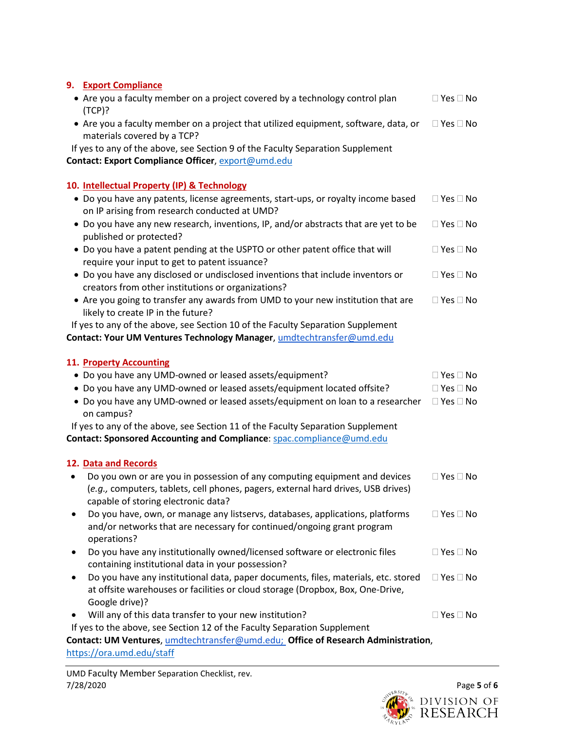## **9. Export Compliance**

- Are you a faculty member on a project covered by a technology control plan (TCP)?  $\Box$  Yes  $\Box$  No
- Are you a faculty member on a project that utilized equipment, software, data, or  $\Box$  Yes  $\Box$  No materials covered by a TCP?

If yes to any of the above, see Section 9 of the Faculty Separation Supplement **Contact: Export Compliance Officer**[, export@umd.edu](mailto:export@umd.edu)

## **10. Intellectual Property (IP) & Technology**

| • Do you have any patents, license agreements, start-ups, or royalty income based | $\Box$ Yes $\Box$ No             |
|-----------------------------------------------------------------------------------|----------------------------------|
| on IP arising from research conducted at UMD?                                     |                                  |
|                                                                                   | $\Box$ $V = \Box$ N <sub>1</sub> |

- Do you have any new research, inventions, IP, and/or abstracts that are yet to be published or protected?  $\Box$  Yes  $\Box$  No
- Do you have a patent pending at the USPTO or other patent office that will require your input to get to patent issuance?  $\Box$  Yes  $\Box$  No
- Do you have any disclosed or undisclosed inventions that include inventors or creators from other institutions or organizations?  $\Box$  Yes  $\Box$  No
- Are you going to transfer any awards from UMD to your new institution that are likely to create IP in the future?  $\Box$  Yes  $\Box$  No

If yes to any of the above, see Section 10 of the Faculty Separation Supplement **Contact: Your UM Ventures Technology Manager**, [umdtechtransfer@umd.edu](mailto:umdtechtransfer@umd.edu)

## **11. Property Accounting**

| • Do you have any UMD-owned or leased assets/equipment?                         | $\Box$ Yes $\Box$ No |
|---------------------------------------------------------------------------------|----------------------|
| • Do you have any UMD-owned or leased assets/equipment located offsite?         | $\Box$ Yes $\Box$ No |
| • Do you have any UMD-owned or leased assets/equipment on loan to a researcher  | $\Box$ Yes $\Box$ No |
| on campus?                                                                      |                      |
| If yes to any of the above, see Section 11 of the Faculty Separation Supplement |                      |
| Contact: Sponsored Accounting and Compliance: spac.compliance@umd.edu           |                      |
|                                                                                 |                      |
| 12. Data and Records                                                            |                      |

- Do you own or are you in possession of any computing equipment and devices (*e.g.,* computers, tablets, cell phones, pagers, external hard drives, USB drives) capable of storing electronic data?  $\Box$  Yes  $\Box$  No
- Do you have, own, or manage any listservs, databases, applications, platforms and/or networks that are necessary for continued/ongoing grant program operations?  $\Box$  Yes  $\Box$  No
- Do you have any institutionally owned/licensed software or electronic files containing institutional data in your possession?  $\Box$  Yes  $\Box$  No
- Do you have any institutional data, paper documents, files, materials, etc. stored at offsite warehouses or facilities or cloud storage (Dropbox, Box, One-Drive, Google drive)?  $\Box$  Yes  $\Box$  No
- Will any of this data transfer to your new institution?  $\Box$  Yes  $\Box$  No

If yes to the above, see Section 12 of the Faculty Separation Supplement

**Contact: UM Ventures**, [umdtechtransfer@umd.edu;](mailto:umdtechtransfer@umd.edu) **Office of Research Administration**, <https://ora.umd.edu/staff>

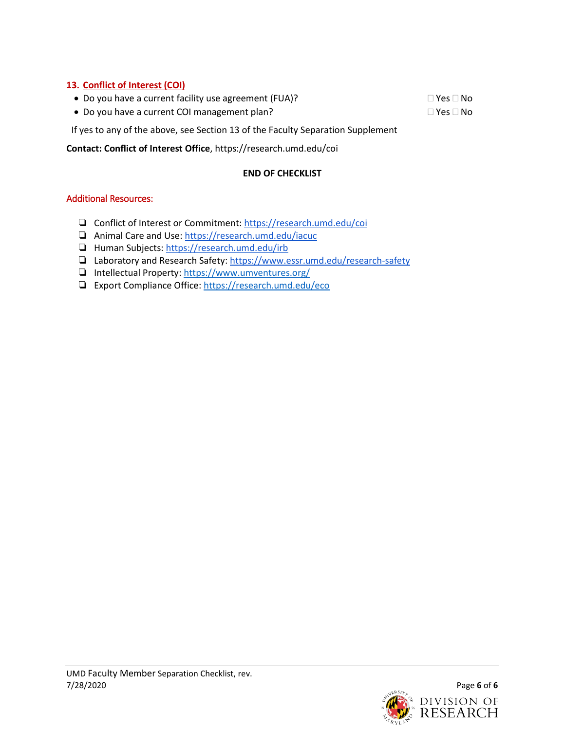## **13. Conflict of Interest (COI)**

- Do you have a current facility use agreement (FUA)?  $\Box$  Yes  $\Box$  No
- Do you have a current COI management plan?  $\Box$  Yes  $\Box$  No

If yes to any of the above, see Section 13 of the Faculty Separation Supplement

**Contact: Conflict of Interest Office**, https://research.umd.edu/coi

## **END OF CHECKLIST**

## Additional Resources:

- ❏ Conflict of Interest or Commitment[: https://research.umd.edu/coi](https://research.umd.edu/coi)
- ❏ Animal Care and Use:<https://research.umd.edu/iacuc>
- ❏ Human Subjects[: https://research.umd.edu/irb](https://research.umd.edu/irb)
- ❏ Laboratory and Research Safety:<https://www.essr.umd.edu/research-safety>
- ❏ Intellectual Property:<https://www.umventures.org/>
- ❏ Export Compliance Office[: https://research.umd.edu/eco](https://research.umd.edu/eco)

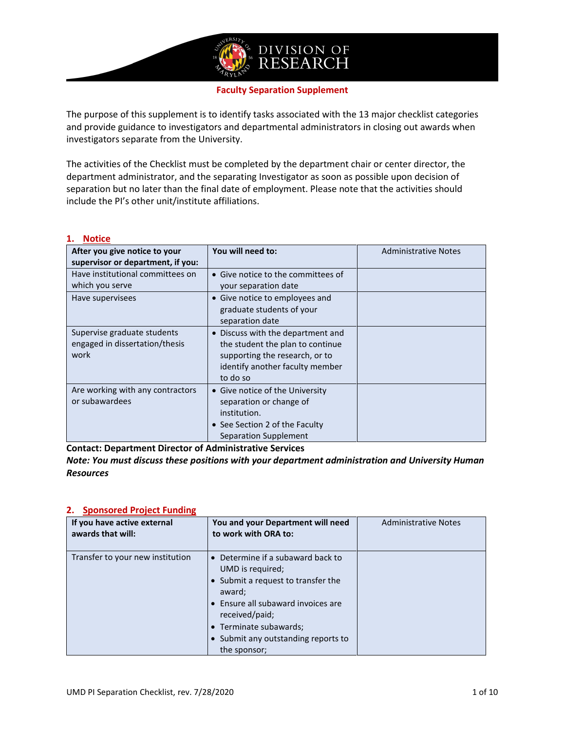

#### **Faculty Separation Supplement**

The purpose of this supplement is to identify tasks associated with the 13 major checklist categories and provide guidance to investigators and departmental administrators in closing out awards when investigators separate from the University.

The activities of the Checklist must be completed by the department chair or center director, the department administrator, and the separating Investigator as soon as possible upon decision of separation but no later than the final date of employment. Please note that the activities should include the PI's other unit/institute affiliations.

### **1. Notice**

| After you give notice to your<br>supervisor or department, if you:    | You will need to:                                                                                                                                      | <b>Administrative Notes</b> |
|-----------------------------------------------------------------------|--------------------------------------------------------------------------------------------------------------------------------------------------------|-----------------------------|
| Have institutional committees on<br>which you serve                   | • Give notice to the committees of<br>your separation date                                                                                             |                             |
| Have supervisees                                                      | • Give notice to employees and<br>graduate students of your<br>separation date                                                                         |                             |
| Supervise graduate students<br>engaged in dissertation/thesis<br>work | • Discuss with the department and<br>the student the plan to continue<br>supporting the research, or to<br>identify another faculty member<br>to do so |                             |
| Are working with any contractors<br>or subawardees                    | • Give notice of the University<br>separation or change of<br>institution.<br>• See Section 2 of the Faculty<br>Separation Supplement                  |                             |

**Contact: Department Director of Administrative Services**

*Note: You must discuss these positions with your department administration and University Human Resources*

| If you have active external<br>awards that will: | You and your Department will need<br>to work with ORA to:                                                                                                                                                                                      | <b>Administrative Notes</b> |
|--------------------------------------------------|------------------------------------------------------------------------------------------------------------------------------------------------------------------------------------------------------------------------------------------------|-----------------------------|
| Transfer to your new institution                 | • Determine if a subaward back to<br>UMD is required;<br>• Submit a request to transfer the<br>award;<br>• Ensure all subaward invoices are<br>received/paid;<br>• Terminate subawards;<br>• Submit any outstanding reports to<br>the sponsor; |                             |

### **2. Sponsored Project Funding**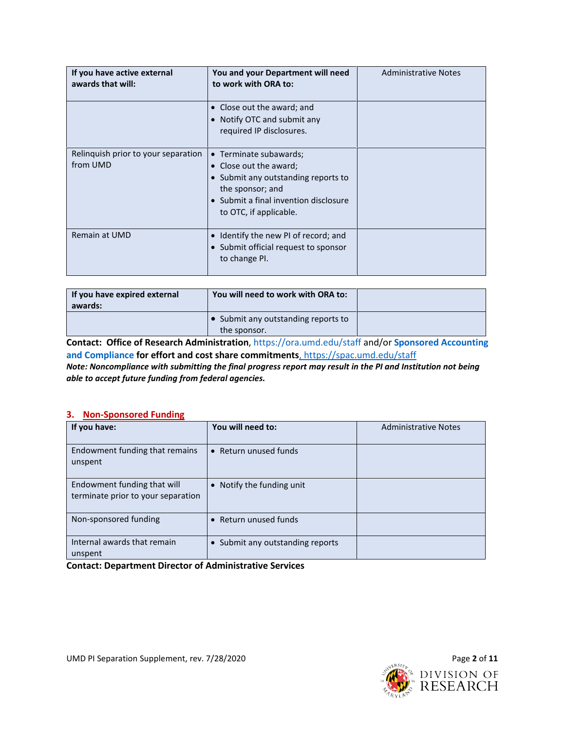| If you have active external<br>awards that will: | You and your Department will need<br>to work with ORA to:                                                                                                                      | <b>Administrative Notes</b> |
|--------------------------------------------------|--------------------------------------------------------------------------------------------------------------------------------------------------------------------------------|-----------------------------|
|                                                  | • Close out the award; and<br>• Notify OTC and submit any<br>required IP disclosures.                                                                                          |                             |
| Relinquish prior to your separation<br>from UMD  | • Terminate subawards;<br>• Close out the award;<br>• Submit any outstanding reports to<br>the sponsor; and<br>• Submit a final invention disclosure<br>to OTC, if applicable. |                             |
| Remain at UMD                                    | Identify the new PI of record; and<br>• Submit official request to sponsor<br>to change PI.                                                                                    |                             |

| If you have expired external<br>awards: | You will need to work with ORA to:                  |  |
|-----------------------------------------|-----------------------------------------------------|--|
|                                         | • Submit any outstanding reports to<br>the sponsor. |  |

**Contact: Office of Research Administration**,<https://ora.umd.edu/staff> and/or **Sponsored Accounting and Compliance for effort and cost share commitments**[, https://spac.umd.edu/staff](https://spac.umd.edu/staff)

*Note: Noncompliance with submitting the final progress report may result in the PI and Institution not being able to accept future funding from federal agencies.* 

#### **3. Non-Sponsored Funding**

| If you have:                                                      | You will need to:                | <b>Administrative Notes</b> |
|-------------------------------------------------------------------|----------------------------------|-----------------------------|
| Endowment funding that remains<br>unspent                         | • Return unused funds            |                             |
| Endowment funding that will<br>terminate prior to your separation | • Notify the funding unit        |                             |
| Non-sponsored funding                                             | • Return unused funds            |                             |
| Internal awards that remain<br>unspent                            | • Submit any outstanding reports |                             |

**Contact: Department Director of Administrative Services**

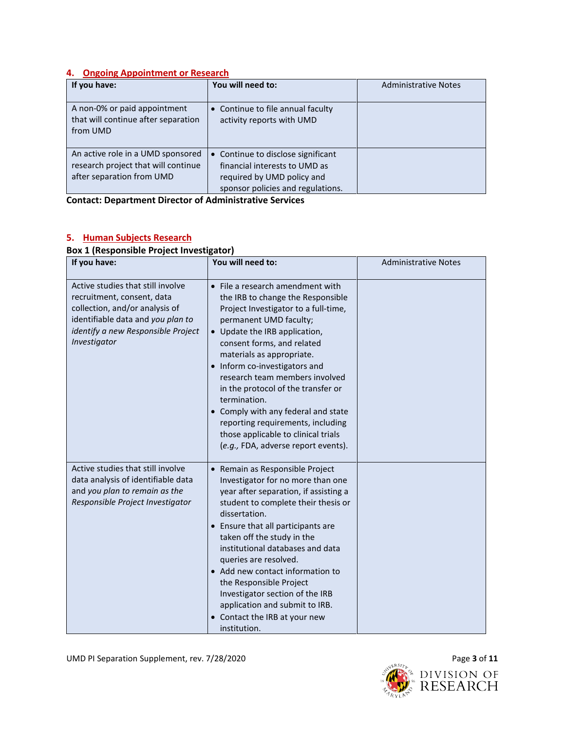### **4. Ongoing Appointment or Research**

| If you have:                                                                                          | You will need to:                                                                                                                      | <b>Administrative Notes</b> |
|-------------------------------------------------------------------------------------------------------|----------------------------------------------------------------------------------------------------------------------------------------|-----------------------------|
| A non-0% or paid appointment<br>that will continue after separation<br>from UMD                       | • Continue to file annual faculty<br>activity reports with UMD                                                                         |                             |
| An active role in a UMD sponsored<br>research project that will continue<br>after separation from UMD | • Continue to disclose significant<br>financial interests to UMD as<br>required by UMD policy and<br>sponsor policies and regulations. |                             |

**Contact: Department Director of Administrative Services**

#### **If you have: You will need to:** Administrative Notes Active studies that still involve recruitment, consent, data collection, and/or analysis of identifiable data and *you plan to identify a new Responsible Project Investigator* • File a research amendment with the IRB to change the Responsible Project Investigator to a full-time, permanent UMD faculty; • Update the IRB application, consent forms, and related materials as appropriate. • Inform co-investigators and research team members involved in the protocol of the transfer or termination. • Comply with any federal and state reporting requirements, including those applicable to clinical trials (*e.g.,* FDA, adverse report events). Active studies that still involve data analysis of identifiable data and *you plan to remain as the Responsible Project Investigator* • Remain as Responsible Project Investigator for no more than one year after separation, if assisting a student to complete their thesis or dissertation. • Ensure that all participants are taken off the study in the institutional databases and data queries are resolved. • Add new contact information to the Responsible Project Investigator section of the IRB application and submit to IRB. • Contact the IRB at your new institution.

#### **5. Human Subjects Research Box 1 (Responsible Project Investigator)**

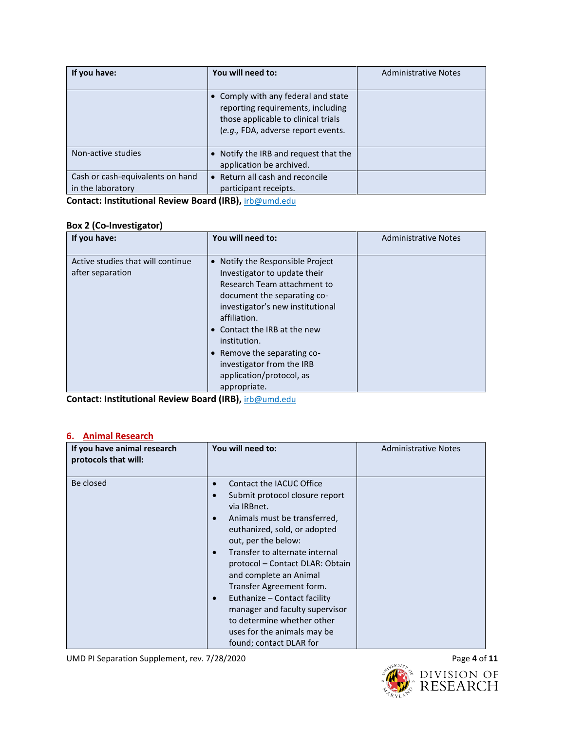| If you have:                                          | You will need to:                                                                                                                                     | <b>Administrative Notes</b> |
|-------------------------------------------------------|-------------------------------------------------------------------------------------------------------------------------------------------------------|-----------------------------|
|                                                       | • Comply with any federal and state<br>reporting requirements, including<br>those applicable to clinical trials<br>(e.g., FDA, adverse report events. |                             |
| Non-active studies                                    | • Notify the IRB and request that the<br>application be archived.                                                                                     |                             |
| Cash or cash-equivalents on hand<br>in the laboratory | • Return all cash and reconcile<br>participant receipts.                                                                                              |                             |

**Contact: Institutional Review Board (IRB),** [irb@umd.edu](mailto:irb@umd.edu)

## **Box 2 (Co-Investigator)**

| If you have:                                          | You will need to:                                                                                                                                                                                                                                                                                                                          | <b>Administrative Notes</b> |
|-------------------------------------------------------|--------------------------------------------------------------------------------------------------------------------------------------------------------------------------------------------------------------------------------------------------------------------------------------------------------------------------------------------|-----------------------------|
| Active studies that will continue<br>after separation | • Notify the Responsible Project<br>Investigator to update their<br>Research Team attachment to<br>document the separating co-<br>investigator's new institutional<br>affiliation.<br>• Contact the IRB at the new<br>institution.<br>• Remove the separating co-<br>investigator from the IRB<br>application/protocol, as<br>appropriate. |                             |

**Contact: Institutional Review Board (IRB),** [irb@umd.edu](mailto:irb@umd.edu)

### **6. Animal Research**

| If you have animal research<br>protocols that will: | You will need to:                                                                                                                                                                                                                                                                                                                                                                                                                                                                                                      | <b>Administrative Notes</b> |
|-----------------------------------------------------|------------------------------------------------------------------------------------------------------------------------------------------------------------------------------------------------------------------------------------------------------------------------------------------------------------------------------------------------------------------------------------------------------------------------------------------------------------------------------------------------------------------------|-----------------------------|
| Be closed                                           | Contact the IACUC Office<br>$\bullet$<br>Submit protocol closure report<br>$\bullet$<br>via IRBnet.<br>Animals must be transferred.<br>$\bullet$<br>euthanized, sold, or adopted<br>out, per the below:<br>Transfer to alternate internal<br>$\bullet$<br>protocol – Contact DLAR: Obtain<br>and complete an Animal<br>Transfer Agreement form.<br>Euthanize - Contact facility<br>$\bullet$<br>manager and faculty supervisor<br>to determine whether other<br>uses for the animals may be<br>found; contact DLAR for |                             |

UMD PI Separation Supplement, rev. 7/28/2020 **Page 4** of **11** 

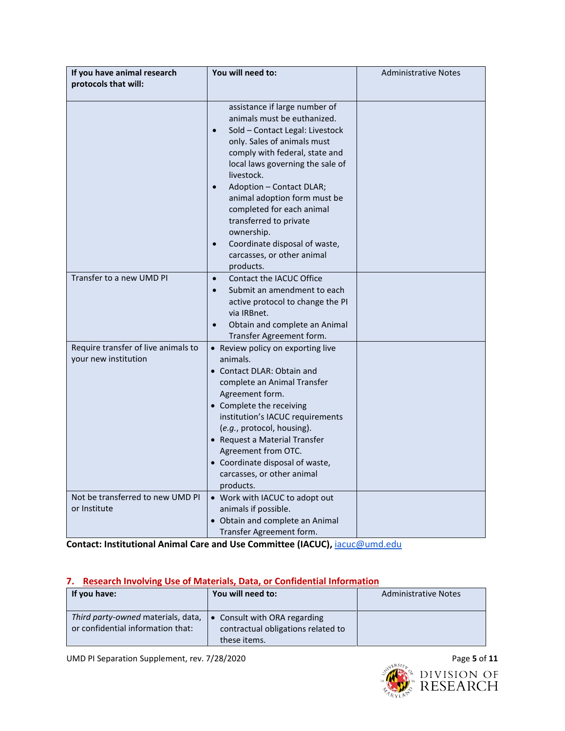| If you have animal research<br>protocols that will:         | You will need to:                                                                                                                                                                                                                                                                                                                                                                                                                                                      | <b>Administrative Notes</b> |
|-------------------------------------------------------------|------------------------------------------------------------------------------------------------------------------------------------------------------------------------------------------------------------------------------------------------------------------------------------------------------------------------------------------------------------------------------------------------------------------------------------------------------------------------|-----------------------------|
|                                                             | assistance if large number of<br>animals must be euthanized.<br>Sold - Contact Legal: Livestock<br>$\bullet$<br>only. Sales of animals must<br>comply with federal, state and<br>local laws governing the sale of<br>livestock.<br>Adoption - Contact DLAR;<br>$\bullet$<br>animal adoption form must be<br>completed for each animal<br>transferred to private<br>ownership.<br>Coordinate disposal of waste,<br>$\bullet$<br>carcasses, or other animal<br>products. |                             |
| Transfer to a new UMD PI                                    | Contact the IACUC Office<br>$\bullet$<br>Submit an amendment to each<br>$\bullet$<br>active protocol to change the PI<br>via IRBnet.<br>Obtain and complete an Animal<br>$\bullet$<br>Transfer Agreement form.                                                                                                                                                                                                                                                         |                             |
| Require transfer of live animals to<br>your new institution | • Review policy on exporting live<br>animals.<br>• Contact DLAR: Obtain and<br>complete an Animal Transfer<br>Agreement form.<br>• Complete the receiving<br>institution's IACUC requirements<br>(e.g., protocol, housing).<br>• Request a Material Transfer<br>Agreement from OTC.<br>• Coordinate disposal of waste,<br>carcasses, or other animal<br>products.                                                                                                      |                             |
| Not be transferred to new UMD PI<br>or Institute            | • Work with IACUC to adopt out<br>animals if possible.<br>• Obtain and complete an Animal<br>Transfer Agreement form.                                                                                                                                                                                                                                                                                                                                                  |                             |

**Contact: Institutional Animal Care and Use Committee (IACUC),** [iacuc@umd.edu](mailto:iacuc@umd.edu)

## **7. Research Involving Use of Materials, Data, or Confidential Information**

| If you have:                                                            | You will need to:                                                                  | <b>Administrative Notes</b> |
|-------------------------------------------------------------------------|------------------------------------------------------------------------------------|-----------------------------|
| Third party-owned materials, data,<br>or confidential information that: | • Consult with ORA regarding<br>contractual obligations related to<br>these items. |                             |

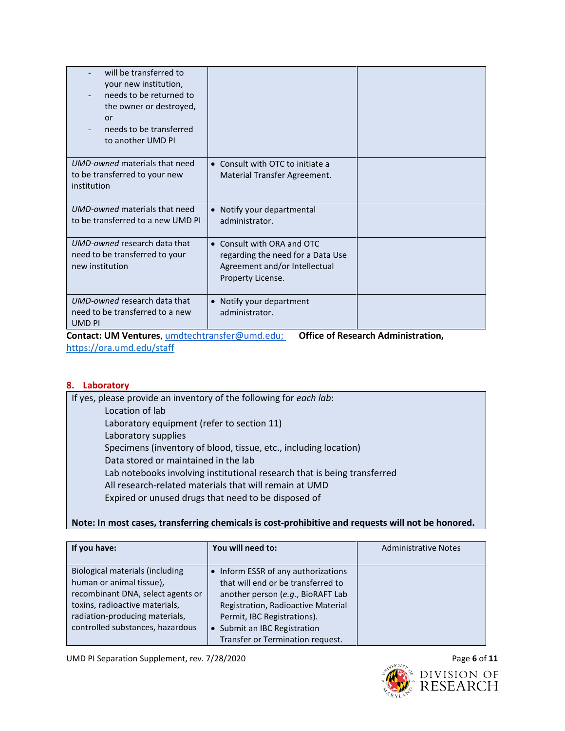| will be transferred to<br>your new institution,<br>needs to be returned to<br>the owner or destroyed,<br>or<br>needs to be transferred<br>to another UMD PI |                                                                                                                       |  |
|-------------------------------------------------------------------------------------------------------------------------------------------------------------|-----------------------------------------------------------------------------------------------------------------------|--|
| UMD-owned materials that need<br>to be transferred to your new<br>institution                                                                               | • Consult with OTC to initiate a<br>Material Transfer Agreement.                                                      |  |
| UMD-owned materials that need<br>to be transferred to a new UMD PI                                                                                          | • Notify your departmental<br>administrator.                                                                          |  |
| UMD-owned research data that<br>need to be transferred to your<br>new institution                                                                           | • Consult with ORA and OTC<br>regarding the need for a Data Use<br>Agreement and/or Intellectual<br>Property License. |  |
| UMD-owned research data that<br>need to be transferred to a new<br>UMD PI                                                                                   | • Notify your department<br>administrator.                                                                            |  |

**Contact: UM Ventures**, [umdtechtransfer@umd.edu;](mailto:umdtechtransfer@umd.edu) **Office of Research Administration,**  <https://ora.umd.edu/staff>

### **8. Laboratory**

If yes, please provide an inventory of the following for *each lab*: Location of lab Laboratory equipment (refer to section 11) Laboratory supplies Specimens (inventory of blood, tissue, etc., including location) Data stored or maintained in the lab Lab notebooks involving institutional research that is being transferred All research-related materials that will remain at UMD Expired or unused drugs that need to be disposed of

### **Note: In most cases, transferring chemicals is cost-prohibitive and requests will not be honored.**

| If you have:                      | You will need to:                   | <b>Administrative Notes</b> |
|-----------------------------------|-------------------------------------|-----------------------------|
| Biological materials (including   | • Inform ESSR of any authorizations |                             |
| human or animal tissue),          | that will end or be transferred to  |                             |
| recombinant DNA, select agents or | another person (e.g., BioRAFT Lab   |                             |
| toxins, radioactive materials,    | Registration, Radioactive Material  |                             |
| radiation-producing materials,    | Permit, IBC Registrations).         |                             |
| controlled substances, hazardous  | • Submit an IBC Registration        |                             |
|                                   | Transfer or Termination request.    |                             |

UMD PI Separation Supplement, rev. 7/28/2020 **Page 6** of 11

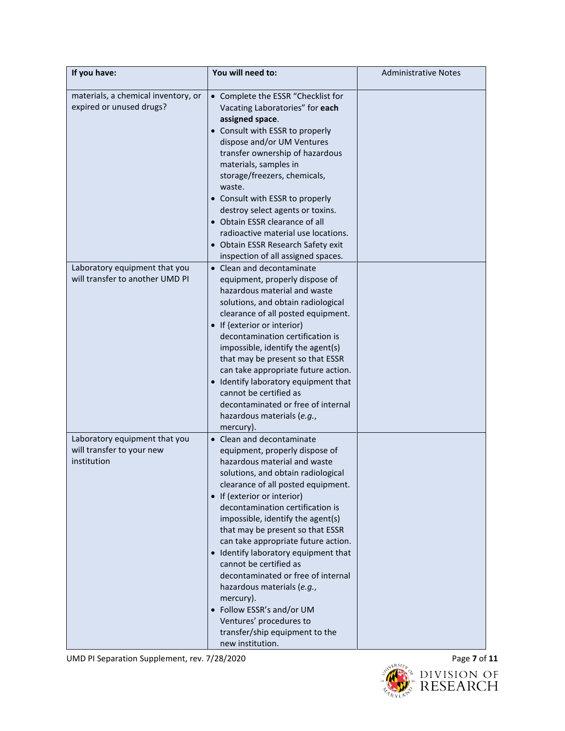| If you have:                                                              | You will need to:                                                                                                                                                                                                                                                                                                                                                                                                                                                                                                                                                                                                           | <b>Administrative Notes</b> |
|---------------------------------------------------------------------------|-----------------------------------------------------------------------------------------------------------------------------------------------------------------------------------------------------------------------------------------------------------------------------------------------------------------------------------------------------------------------------------------------------------------------------------------------------------------------------------------------------------------------------------------------------------------------------------------------------------------------------|-----------------------------|
| materials, a chemical inventory, or<br>expired or unused drugs?           | • Complete the ESSR "Checklist for<br>Vacating Laboratories" for each<br>assigned space.<br>• Consult with ESSR to properly<br>dispose and/or UM Ventures<br>transfer ownership of hazardous<br>materials, samples in<br>storage/freezers, chemicals,<br>waste.<br>• Consult with ESSR to properly<br>destroy select agents or toxins.<br>• Obtain ESSR clearance of all<br>radioactive material use locations.<br>• Obtain ESSR Research Safety exit<br>inspection of all assigned spaces.                                                                                                                                 |                             |
| Laboratory equipment that you<br>will transfer to another UMD PI          | • Clean and decontaminate<br>equipment, properly dispose of<br>hazardous material and waste<br>solutions, and obtain radiological<br>clearance of all posted equipment.<br>• If {exterior or interior)<br>decontamination certification is<br>impossible, identify the agent(s)<br>that may be present so that ESSR<br>can take appropriate future action.<br>• Identify laboratory equipment that<br>cannot be certified as<br>decontaminated or free of internal<br>hazardous materials (e.g.,<br>mercury).                                                                                                               |                             |
| Laboratory equipment that you<br>will transfer to your new<br>institution | • Clean and decontaminate<br>equipment, properly dispose of<br>hazardous material and waste<br>solutions, and obtain radiological<br>clearance of all posted equipment.<br>• If (exterior or interior)<br>decontamination certification is<br>impossible, identify the agent(s)<br>that may be present so that ESSR<br>can take appropriate future action.<br>• Identify laboratory equipment that<br>cannot be certified as<br>decontaminated or free of internal<br>hazardous materials (e.g.,<br>mercury).<br>• Follow ESSR's and/or UM<br>Ventures' procedures to<br>transfer/ship equipment to the<br>new institution. |                             |

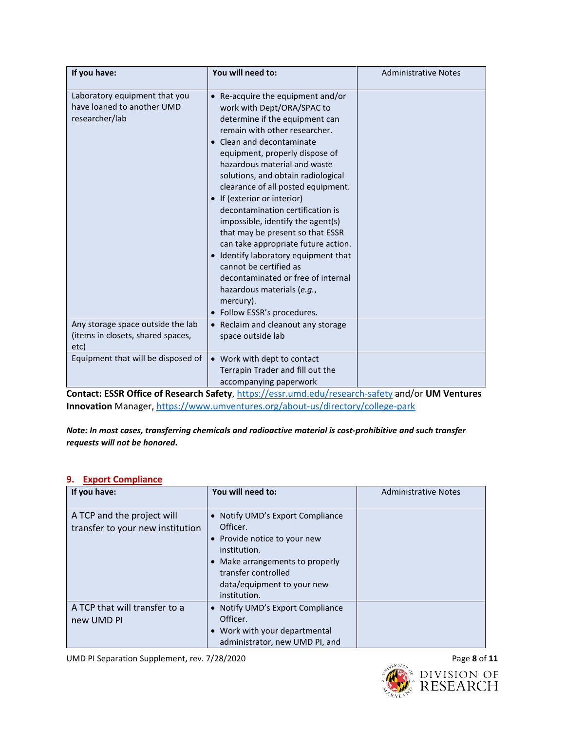| If you have:                                                                                                                                            | You will need to:                                                                                                                                                                                                                                                                                                                                                                                                                                                                                                                                                                                                                                                                                                                       | <b>Administrative Notes</b> |
|---------------------------------------------------------------------------------------------------------------------------------------------------------|-----------------------------------------------------------------------------------------------------------------------------------------------------------------------------------------------------------------------------------------------------------------------------------------------------------------------------------------------------------------------------------------------------------------------------------------------------------------------------------------------------------------------------------------------------------------------------------------------------------------------------------------------------------------------------------------------------------------------------------------|-----------------------------|
| Laboratory equipment that you<br>have loaned to another UMD<br>researcher/lab<br>Any storage space outside the lab<br>(items in closets, shared spaces, | Re-acquire the equipment and/or<br>work with Dept/ORA/SPAC to<br>determine if the equipment can<br>remain with other researcher.<br>Clean and decontaminate<br>equipment, properly dispose of<br>hazardous material and waste<br>solutions, and obtain radiological<br>clearance of all posted equipment.<br>• If (exterior or interior)<br>decontamination certification is<br>impossible, identify the agent(s)<br>that may be present so that ESSR<br>can take appropriate future action.<br>Identify laboratory equipment that<br>cannot be certified as<br>decontaminated or free of internal<br>hazardous materials (e.g.,<br>mercury).<br>• Follow ESSR's procedures.<br>• Reclaim and cleanout any storage<br>space outside lab |                             |
| etc)                                                                                                                                                    |                                                                                                                                                                                                                                                                                                                                                                                                                                                                                                                                                                                                                                                                                                                                         |                             |
| Equipment that will be disposed of                                                                                                                      | • Work with dept to contact<br>Terrapin Trader and fill out the<br>accompanying paperwork                                                                                                                                                                                                                                                                                                                                                                                                                                                                                                                                                                                                                                               |                             |

**Contact: ESSR Office of Research Safety**,<https://essr.umd.edu/research-safety> and/or **UM Ventures Innovation** Manager[, https://www.umventures.org/about-us/directory/college-park](https://www.umventures.org/about-us/directory/college-park)

*Note: In most cases, transferring chemicals and radioactive material is cost-prohibitive and such transfer requests will not be honored.*

#### **9. Export Compliance**

| If you have:                                                   | You will need to:                                                                                                                                                                                    | <b>Administrative Notes</b> |
|----------------------------------------------------------------|------------------------------------------------------------------------------------------------------------------------------------------------------------------------------------------------------|-----------------------------|
| A TCP and the project will<br>transfer to your new institution | • Notify UMD's Export Compliance<br>Officer.<br>• Provide notice to your new<br>institution.<br>• Make arrangements to properly<br>transfer controlled<br>data/equipment to your new<br>institution. |                             |
| A TCP that will transfer to a<br>new UMD PI                    | • Notify UMD's Export Compliance<br>Officer.<br>• Work with your departmental<br>administrator, new UMD PI, and                                                                                      |                             |

UMD PI Separation Supplement, rev. 7/28/2020 **Page 8** of 11

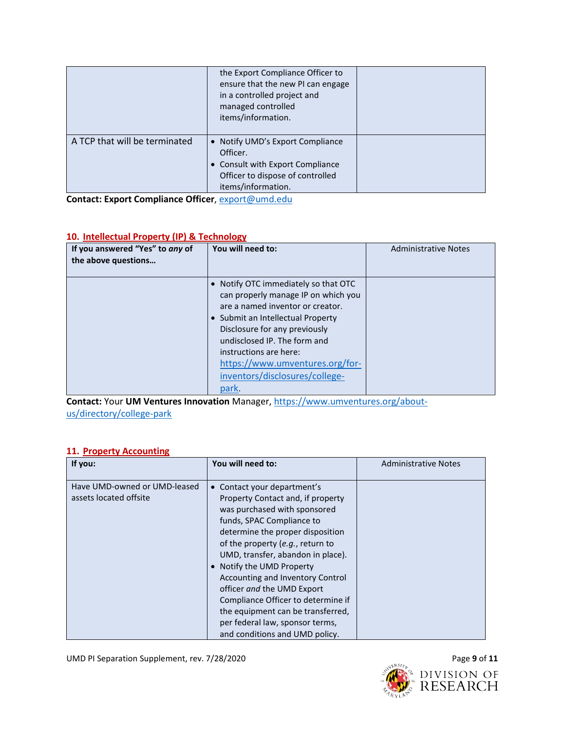|                               | the Export Compliance Officer to<br>ensure that the new PI can engage<br>in a controlled project and<br>managed controlled<br>items/information. |  |
|-------------------------------|--------------------------------------------------------------------------------------------------------------------------------------------------|--|
| A TCP that will be terminated | • Notify UMD's Export Compliance<br>Officer.<br>• Consult with Export Compliance<br>Officer to dispose of controlled<br>items/information.       |  |

**Contact: Export Compliance Officer**[, export@umd.edu](mailto:export@umd.edu)

### **10. Intellectual Property (IP) & Technology**

| If you answered "Yes" to any of<br>the above questions | You will need to:                                                                                                                                                                                                                                                                                                           | <b>Administrative Notes</b> |
|--------------------------------------------------------|-----------------------------------------------------------------------------------------------------------------------------------------------------------------------------------------------------------------------------------------------------------------------------------------------------------------------------|-----------------------------|
|                                                        | Notify OTC immediately so that OTC<br>can properly manage IP on which you<br>are a named inventor or creator.<br>• Submit an Intellectual Property<br>Disclosure for any previously<br>undisclosed IP. The form and<br>instructions are here:<br>https://www.umventures.org/for-<br>inventors/disclosures/college-<br>park. |                             |

**Contact:** Your **UM Ventures Innovation** Manager, [https://www.umventures.org/about](https://www.umventures.org/about-us/directory/college-park)[us/directory/college-park](https://www.umventures.org/about-us/directory/college-park)

### **11. Property Accounting**

| If you:                                                | You will need to:                                                                                                                                                                                                                                                                                                                                                                                                                                                                       | <b>Administrative Notes</b> |
|--------------------------------------------------------|-----------------------------------------------------------------------------------------------------------------------------------------------------------------------------------------------------------------------------------------------------------------------------------------------------------------------------------------------------------------------------------------------------------------------------------------------------------------------------------------|-----------------------------|
| Have UMD-owned or UMD-leased<br>assets located offsite | Contact your department's<br>Property Contact and, if property<br>was purchased with sponsored<br>funds, SPAC Compliance to<br>determine the proper disposition<br>of the property (e.g., return to<br>UMD, transfer, abandon in place).<br>• Notify the UMD Property<br>Accounting and Inventory Control<br>officer and the UMD Export<br>Compliance Officer to determine if<br>the equipment can be transferred.<br>per federal law, sponsor terms,<br>and conditions and UMD policy. |                             |

UMD PI Separation Supplement, rev. 7/28/2020 **Page 9 of 11** Page 9 of 11

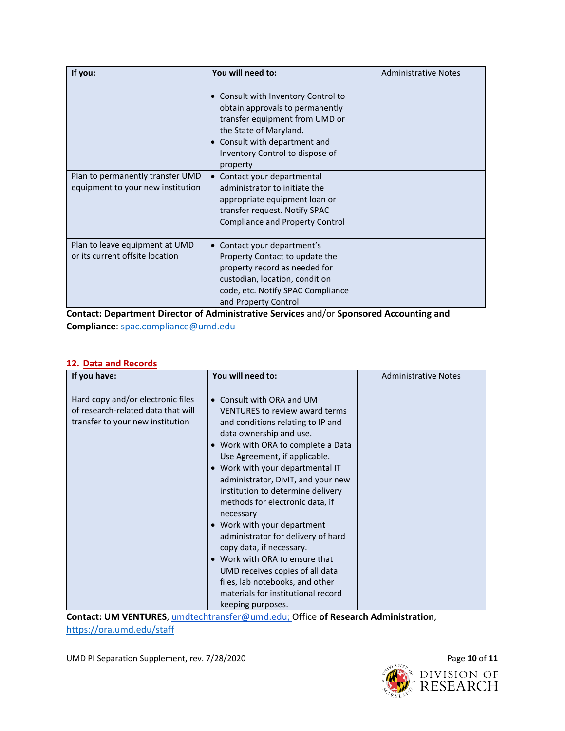| If you:                                                               | You will need to:                                                                                                                                                                                                  | <b>Administrative Notes</b> |
|-----------------------------------------------------------------------|--------------------------------------------------------------------------------------------------------------------------------------------------------------------------------------------------------------------|-----------------------------|
|                                                                       | • Consult with Inventory Control to<br>obtain approvals to permanently<br>transfer equipment from UMD or<br>the State of Maryland.<br>• Consult with department and<br>Inventory Control to dispose of<br>property |                             |
| Plan to permanently transfer UMD<br>equipment to your new institution | Contact your departmental<br>$\bullet$<br>administrator to initiate the<br>appropriate equipment loan or<br>transfer request. Notify SPAC<br><b>Compliance and Property Control</b>                                |                             |
| Plan to leave equipment at UMD<br>or its current offsite location     | Contact your department's<br>$\bullet$<br>Property Contact to update the<br>property record as needed for<br>custodian, location, condition<br>code, etc. Notify SPAC Compliance<br>and Property Control           |                             |

**Contact: Department Director of Administrative Services** and/or **Sponsored Accounting and Compliance**: [spac.compliance@umd.edu](mailto:spac.compliance@umd.edu)

### **12. Data and Records**

| If you have:                                                                                                | You will need to:                                                                                                                                                                                                                                                                                                                                                                                                                                                                                                                                                                                                                            | <b>Administrative Notes</b> |
|-------------------------------------------------------------------------------------------------------------|----------------------------------------------------------------------------------------------------------------------------------------------------------------------------------------------------------------------------------------------------------------------------------------------------------------------------------------------------------------------------------------------------------------------------------------------------------------------------------------------------------------------------------------------------------------------------------------------------------------------------------------------|-----------------------------|
| Hard copy and/or electronic files<br>of research-related data that will<br>transfer to your new institution | • Consult with ORA and UM<br><b>VENTURES to review award terms</b><br>and conditions relating to IP and<br>data ownership and use.<br>• Work with ORA to complete a Data<br>Use Agreement, if applicable.<br>• Work with your departmental IT<br>administrator, DivIT, and your new<br>institution to determine delivery<br>methods for electronic data, if<br>necessary<br>• Work with your department<br>administrator for delivery of hard<br>copy data, if necessary.<br>• Work with ORA to ensure that<br>UMD receives copies of all data<br>files, lab notebooks, and other<br>materials for institutional record<br>keeping purposes. |                             |

**Contact: UM VENTURES**, [umdtechtransfer@umd.edu;](mailto:umdtechtransfer@umd.edu) Office **of Research Administration**, <https://ora.umd.edu/staff>

UMD PI Separation Supplement, rev. 7/28/2020 **Page 10** of 11